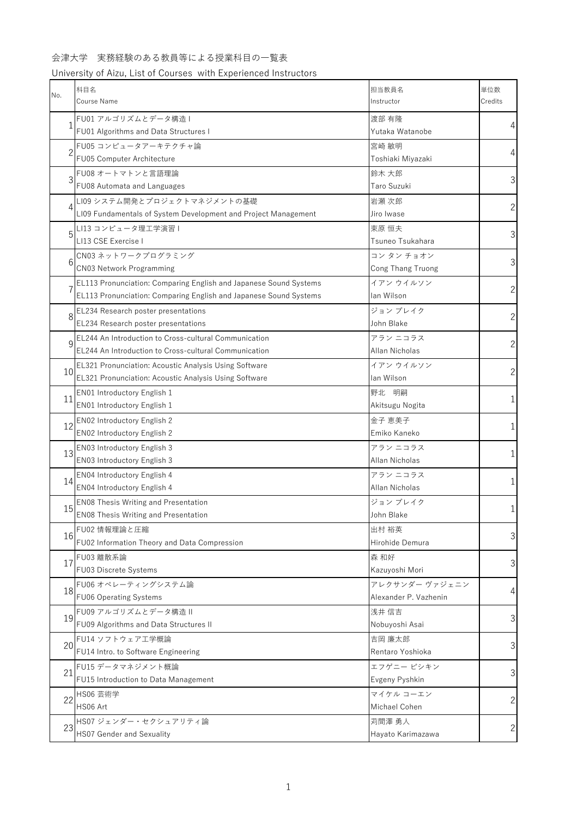### University of Aizu, List of Courses with Experienced Instructors

| No.           | 科目名<br>Course Name                                                                                                                            | 担当教員名<br>Instructor                     | 単位数<br>Credits |
|---------------|-----------------------------------------------------------------------------------------------------------------------------------------------|-----------------------------------------|----------------|
|               | FU01 アルゴリズムとデータ構造 I<br>FU01 Algorithms and Data Structures I                                                                                  | 渡部 有隆<br>Yutaka Watanobe                | $\overline{4}$ |
| $\mathcal{P}$ | FU05 コンピュータアーキテクチャ論<br>FU05 Computer Architecture                                                                                             | 宮崎 敏明<br>Toshiaki Miyazaki              | $\overline{4}$ |
| 3             | FU08 オートマトンと言語理論<br>FU08 Automata and Languages                                                                                               | 鈴木 大郎<br>Taro Suzuki                    | 3              |
| 4             | LI09 システム開発とプロジェクトマネジメントの基礎<br>LI09 Fundamentals of System Development and Project Management                                                 | 岩瀬 次郎<br>Jiro Iwase                     | $\overline{c}$ |
| 5             | LI13 コンピュータ理工学演習 I<br>LI13 CSE Exercise I                                                                                                     | 束原 恒夫<br>Tsuneo Tsukahara               | 3              |
| 6             | CN03 ネットワークプログラミング<br>CN03 Network Programming                                                                                                | コン タン チョオン<br>Cong Thang Truong         | 3              |
|               | <b>EL113 Pronunciation: Comparing English and Japanese Sound Systems</b><br>EL113 Pronunciation: Comparing English and Japanese Sound Systems | イアン ウイルソン<br>lan Wilson                 | $\overline{c}$ |
| 8             | EL234 Research poster presentations<br>EL234 Research poster presentations                                                                    | ジョン ブレイク<br>John Blake                  | $\overline{c}$ |
| q             | EL244 An Introduction to Cross-cultural Communication<br>EL244 An Introduction to Cross-cultural Communication                                | アラン ニコラス<br>Allan Nicholas              | $\overline{c}$ |
| 10            | EL321 Pronunciation: Acoustic Analysis Using Software<br>EL321 Pronunciation: Acoustic Analysis Using Software                                | イアン ウイルソン<br>lan Wilson                 | $\overline{c}$ |
| 11            | EN01 Introductory English 1<br>EN01 Introductory English 1                                                                                    | 野北 明嗣<br>Akitsugu Nogita                | $\mathbf 1$    |
| 12            | EN02 Introductory English 2<br>EN02 Introductory English 2                                                                                    | 金子 恵美子<br>Emiko Kaneko                  | $\mathbf 1$    |
| 13            | EN03 Introductory English 3<br>EN03 Introductory English 3                                                                                    | アラン ニコラス<br>Allan Nicholas              | 1              |
| 14            | EN04 Introductory English 4<br>EN04 Introductory English 4                                                                                    | アラン ニコラス<br>Allan Nicholas              | $\mathbf 1$    |
| 15            | <b>EN08 Thesis Writing and Presentation</b><br>EN08 Thesis Writing and Presentation                                                           | ジョン ブレイク<br>John Blake                  | 1              |
| 16            | FU02 情報理論と圧縮<br>FU02 Information Theory and Data Compression                                                                                  | 出村 裕英<br>Hirohide Demura                | 3              |
| 17            | FU03 離散系論<br>FU03 Discrete Systems                                                                                                            | 森 和好<br>Kazuyoshi Mori                  | 3              |
| 18            | FU06 オペレーティングシステム論<br>FU06 Operating Systems                                                                                                  | アレクサンダー ヴァジェニン<br>Alexander P. Vazhenin | $\overline{4}$ |
| 19            | FU09 アルゴリズムとデータ構造 II<br>FU09 Algorithms and Data Structures II                                                                                | 浅井 信吉<br>Nobuyoshi Asai                 | 3              |
| 20            | FU14 ソフトウェア工学概論<br>FU14 Intro. to Software Engineering                                                                                        | 吉岡 廉太郎<br>Rentaro Yoshioka              | 3              |
| 21            | FU15 データマネジメント概論<br>FU15 Introduction to Data Management                                                                                      | エフゲニー ピシキン<br>Evgeny Pyshkin            | 3              |
| 22            | HS06 芸術学<br>HS06 Art                                                                                                                          | マイケル コーエン<br>Michael Cohen              | $\overline{c}$ |
| 23            | HS07 ジェンダー・セクシュアリティ論<br><b>HS07 Gender and Sexuality</b>                                                                                      | 苅間澤 勇人<br>Hayato Karimazawa             | $\mathbf{2}$   |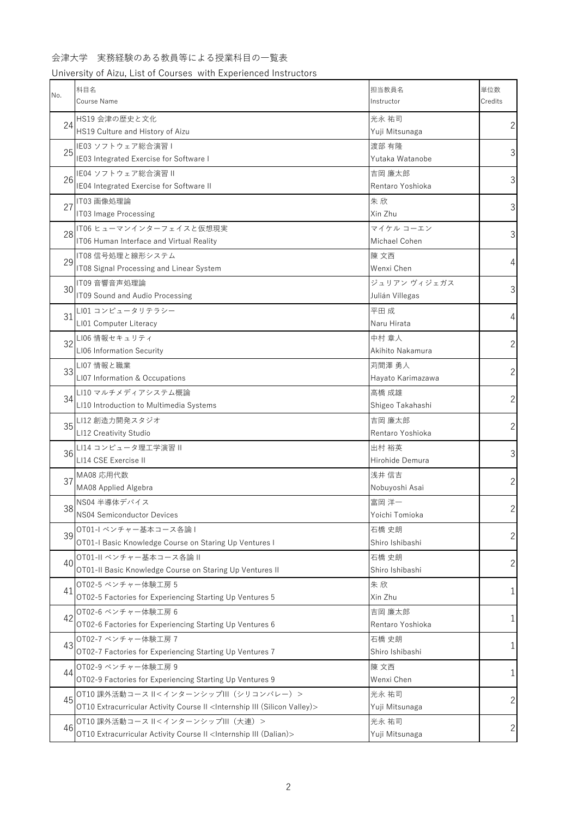# University of Aizu, List of Courses with Experienced Instructors

| No. | 科目名<br>Course Name                                                                                                                         | 担当教員名<br>Instructor             | 単位数<br>Credits |
|-----|--------------------------------------------------------------------------------------------------------------------------------------------|---------------------------------|----------------|
| 24  | HS19 会津の歴史と文化<br>HS19 Culture and History of Aizu                                                                                          | 光永 祐司<br>Yuji Mitsunaga         | 2              |
| 25  | IE03 ソフトウェア総合演習 I<br>IE03 Integrated Exercise for Software I                                                                               | 渡部 有隆<br>Yutaka Watanobe        | 3              |
| 26  | IE04 ソフトウェア総合演習 II<br>IE04 Integrated Exercise for Software II                                                                             | 吉岡 廉太郎<br>Rentaro Yoshioka      | 3              |
| 27  | IT03 画像処理論<br>IT03 Image Processing                                                                                                        | 朱欣<br>Xin Zhu                   | 3              |
| 28  | IT06 ヒューマンインターフェイスと仮想現実<br>IT06 Human Interface and Virtual Reality                                                                        | マイケル コーエン<br>Michael Cohen      | 3              |
| 29  | IT08信号処理と線形システム<br>IT08 Signal Processing and Linear System                                                                                | 陳 文西<br>Wenxi Chen              | 4              |
| 30  | IT09 音響音声処理論<br>IT09 Sound and Audio Processing                                                                                            | ジュリアン ヴィジェガス<br>Julián Villegas | 3              |
| 31  | LI01 コンピュータリテラシー<br>LI01 Computer Literacy                                                                                                 | 平田成<br>Naru Hirata              | 4              |
| 32  | LI06 情報セキュリティ<br>LI06 Information Security                                                                                                 | 中村 章人<br>Akihito Nakamura       | $\overline{c}$ |
| 33  | LI07 情報と職業<br>LI07 Information & Occupations                                                                                               | 苅間澤 勇人<br>Hayato Karimazawa     | 2              |
| 34  | LI10 マルチメディアシステム概論<br>LI10 Introduction to Multimedia Systems                                                                              | 高橋 成雄<br>Shigeo Takahashi       | $\overline{c}$ |
| 35  | LI12 創造力開発スタジオ<br>LI12 Creativity Studio                                                                                                   | 吉岡 廉太郎<br>Rentaro Yoshioka      | $\overline{c}$ |
| 36  | LI14 コンピュータ理工学演習 II<br>LI14 CSE Exercise II                                                                                                | 出村 裕英<br>Hirohide Demura        | 3              |
| 37  | MA08 応用代数<br>MA08 Applied Algebra                                                                                                          | 浅井 信吉<br>Nobuyoshi Asai         | $\overline{c}$ |
| 38  | NS04 半導体デバイス<br>NS04 Semiconductor Devices                                                                                                 | 富岡 洋一<br>Yoichi Tomioka         | 2              |
| 39  | OT01-I ベンチャー基本コース各論 I<br>OT01-I Basic Knowledge Course on Staring Up Ventures I                                                            | 石橋 史朗<br>Shiro Ishibashi        | $\overline{c}$ |
| 40  | OT01-II ベンチャー基本コース各論 II<br>OT01-II Basic Knowledge Course on Staring Up Ventures II                                                        | 石橋 史朗<br>Shiro Ishibashi        | $\overline{c}$ |
| 41  | OT02-5 ベンチャー体験工房 5<br>OT02-5 Factories for Experiencing Starting Up Ventures 5                                                             | 朱欣<br>Xin Zhu                   | 1              |
| 42  | OT02-6 ベンチャー体験工房 6<br>OT02-6 Factories for Experiencing Starting Up Ventures 6                                                             | 吉岡 廉太郎<br>Rentaro Yoshioka      | 1              |
| 43  | OT02-7 ベンチャー体験工房 7<br>OT02-7 Factories for Experiencing Starting Up Ventures 7                                                             | 石橋 史朗<br>Shiro Ishibashi        | 1              |
| 44  | OT02-9 ベンチャー体験工房 9<br>OT02-9 Factories for Experiencing Starting Up Ventures 9                                                             | 陳 文西<br>Wenxi Chen              | 1              |
| 45  | OT10 課外活動コース II<インターンシップIII (シリコンバレー) ><br>OT10 Extracurricular Activity Course II <internship (silicon="" iii="" valley)=""></internship> | 光永 祐司<br>Yuji Mitsunaga         | 2              |
| 46  | OT10 課外活動コース II<インターンシップIII(大連)><br>OT10 Extracurricular Activity Course II <internship (dalian)="" iii=""></internship>                   | 光永 祐司<br>Yuji Mitsunaga         | $\overline{c}$ |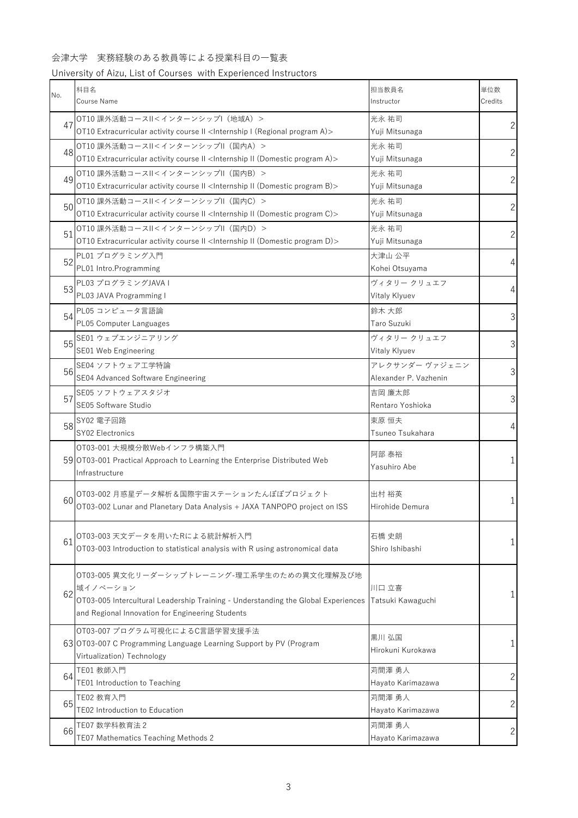# University of Aizu, List of Courses with Experienced Instructors

| No. | 科目名<br>Course Name                                                                                                                                                                               | 担当教員名<br>Instructor                     | 単位数<br>Credits |
|-----|--------------------------------------------------------------------------------------------------------------------------------------------------------------------------------------------------|-----------------------------------------|----------------|
| 47  | OT10 課外活動コースII<インターンシップI (地域A) ><br>OT10 Extracurricular activity course II <internship (regional="" a)="" i="" program=""></internship>                                                         | 光永 祐司<br>Yuji Mitsunaga                 | $\overline{c}$ |
| 48  | OT10 課外活動コースII<インターンシップII (国内A) ><br>OT10 Extracurricular activity course II <internship (domestic="" a)="" ii="" program=""></internship>                                                       | 光永 祐司<br>Yuji Mitsunaga                 | $\overline{c}$ |
| 49  | OT10 課外活動コースII<インターンシップII (国内B) ><br>OT10 Extracurricular activity course II <internship (domestic="" b)="" ii="" program=""></internship>                                                       | 光永 祐司<br>Yuji Mitsunaga                 | $\overline{c}$ |
| 50  | OT10 課外活動コースII<インターンシップII (国内C) ><br>OT10 Extracurricular activity course II <internship (domestic="" c)="" ii="" program=""></internship>                                                       | 光永 祐司<br>Yuji Mitsunaga                 | 2 <sup>1</sup> |
| 51  | OT10 課外活動コースII<インターンシップII (国内D) ><br>OT10 Extracurricular activity course II <internship (domestic="" d)="" ii="" program=""></internship>                                                       | 光永 祐司<br>Yuji Mitsunaga                 | $\overline{c}$ |
| 52  | PL01 プログラミング入門<br>PL01 Intro.Programming                                                                                                                                                         | 大津山 公平<br>Kohei Otsuyama                | $\overline{4}$ |
| 53  | PL03 プログラミングJAVAI<br>PL03 JAVA Programming I                                                                                                                                                     | ヴィタリー クリュエフ<br>Vitaly Klyuev            | $\overline{4}$ |
| 54  | PL05 コンピュータ言語論<br>PL05 Computer Languages                                                                                                                                                        | 鈴木 大郎<br>Taro Suzuki                    | 3              |
| 55  | SE01 ウェブエンジニアリング<br>SE01 Web Engineering                                                                                                                                                         | ヴィタリー クリュエフ<br>Vitaly Klyuev            | 3              |
| 56  | SE04 ソフトウェア工学特論<br>SE04 Advanced Software Engineering                                                                                                                                            | アレクサンダー ヴァジェニン<br>Alexander P. Vazhenin | $\mathfrak{Z}$ |
| 57  | SE05 ソフトウェアスタジオ<br>SE05 Software Studio                                                                                                                                                          | 吉岡 廉太郎<br>Rentaro Yoshioka              | 3              |
| 58  | SY02 電子回路<br>SY02 Electronics                                                                                                                                                                    | 束原 恒夫<br>Tsuneo Tsukahara               | $\overline{4}$ |
|     | OT03-001 大規模分散Webインフラ構築入門<br>59 OT03-001 Practical Approach to Learning the Enterprise Distributed Web<br>Infrastructure                                                                         | 阿部 泰裕<br>Yasuhiro Abe                   | 1              |
| 60  | OT03-002 月惑星データ解析&国際宇宙ステーションたんぽぽプロジェクト<br>OT03-002 Lunar and Planetary Data Analysis + JAXA TANPOPO project on ISS                                                                               | 出村 裕英<br>Hirohide Demura                | 1              |
| 61  | OT03-003 天文データを用いたRによる統計解析入門<br>OT03-003 Introduction to statistical analysis with R using astronomical data                                                                                     | 石橋 史朗<br>Shiro Ishibashi                | 1              |
| 62  | OT03-005 異文化リーダーシップトレーニング-理工系学生のための異文化理解及び地<br>域イノベーション<br>OT03-005 Intercultural Leadership Training - Understanding the Global Experiences<br>and Regional Innovation for Engineering Students | 川口 立喜<br>Tatsuki Kawaguchi              | 1              |
|     | OT03-007 プログラム可視化によるC言語学習支援手法<br>63 OT03-007 C Programming Language Learning Support by PV (Program<br>Virtualization) Technology                                                                | 黒川 弘国<br>Hirokuni Kurokawa              | 1              |
| 64  | TE01 教師入門<br>TE01 Introduction to Teaching                                                                                                                                                       | 苅間澤 勇人<br>Hayato Karimazawa             | $\overline{c}$ |
| 65  | TE02 教育入門<br>TE02 Introduction to Education                                                                                                                                                      | 苅間澤 勇人<br>Hayato Karimazawa             | $\overline{c}$ |
| 66  | TE07 数学科教育法 2<br>TE07 Mathematics Teaching Methods 2                                                                                                                                             | 苅間澤 勇人<br>Hayato Karimazawa             | $\sqrt{2}$     |